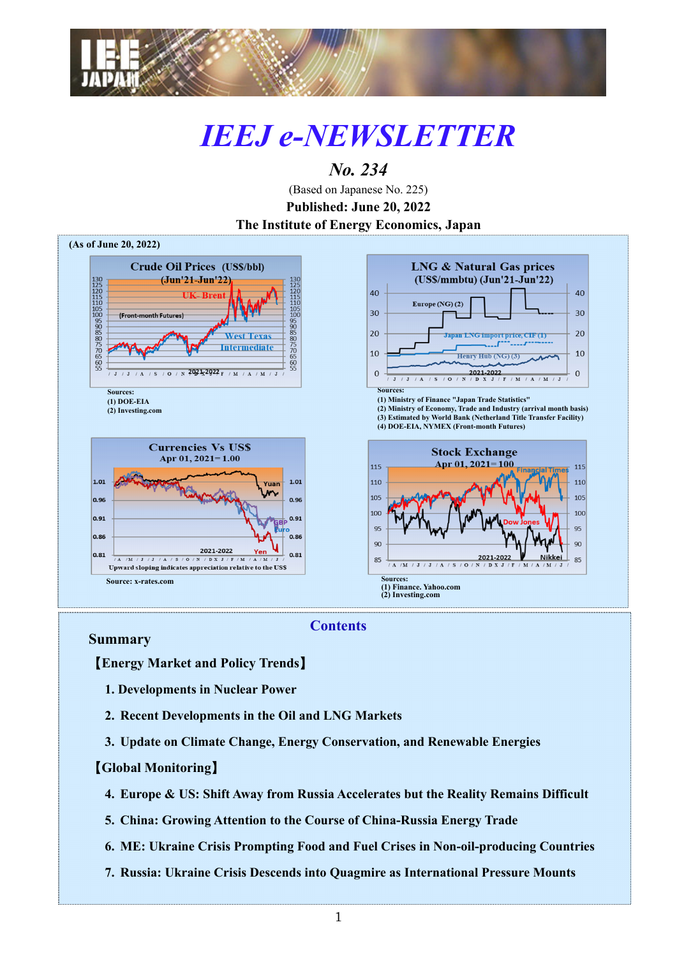

# *IEEJ e-NEWSLETTER*

# *No. 234*

(Based on Japanese No. 225) **Published: June 20, 2022 The Institute of Energy Economics, Japan**



### **Contents**

#### **Summary**

【**Energy Market and Policy Trends**】

- **1. Developments in Nuclear Power**
- **2. Recent Developments in the Oil and LNG Markets**
- **3. Update on Climate Change, Energy Conservation, and Renewable Energies**

#### 【**Global Monitoring**】

- **4. Europe & US: Shift Away from Russia Accelerates but the Reality Remains Difficult**
- **5. China: Growing Attention to the Course of China-Russia Energy Trade**
- **6. ME: Ukraine Crisis Prompting Food and Fuel Crises in Non-oil-producing Countries**
- **7. Russia: Ukraine Crisis Descends into Quagmire as International Pressure Mounts**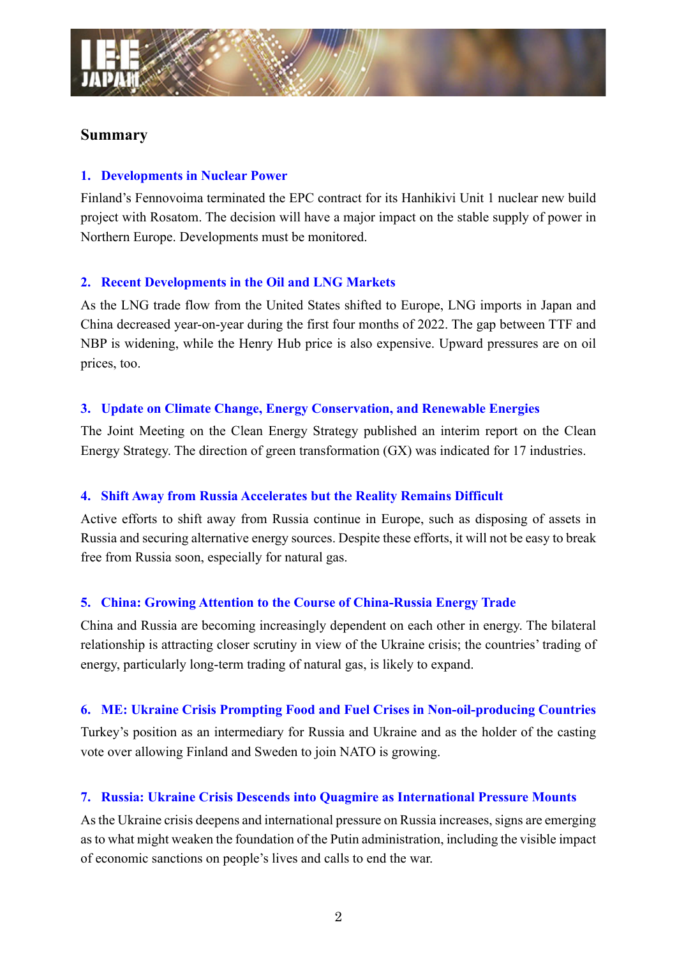

#### **Summary**

#### **1. Developments in Nuclear Power**

Finland's Fennovoima terminated the EPC contract for its Hanhikivi Unit 1 nuclear new build project with Rosatom. The decision will have a major impact on the stable supply of power in Northern Europe. Developments must be monitored.

#### **2. Recent Developments in the Oil and LNG Markets**

As the LNG trade flow from the United States shifted to Europe, LNG imports in Japan and China decreased year-on-year during the first four months of 2022. The gap between TTF and NBP is widening, while the Henry Hub price is also expensive. Upward pressures are on oil prices, too.

#### **3. Update on Climate Change, Energy Conservation, and Renewable Energies**

The Joint Meeting on the Clean Energy Strategy published an interim report on the Clean Energy Strategy. The direction of green transformation (GX) was indicated for 17 industries.

#### **4. Shift Away from Russia Accelerates but the Reality Remains Difficult**

Active efforts to shift away from Russia continue in Europe, such as disposing of assets in Russia and securing alternative energy sources. Despite these efforts, it will not be easy to break free from Russia soon, especially for natural gas.

#### **5. China: Growing Attention to the Course of China-Russia Energy Trade**

China and Russia are becoming increasingly dependent on each other in energy. The bilateral relationship is attracting closer scrutiny in view of the Ukraine crisis; the countries' trading of energy, particularly long-term trading of natural gas, is likely to expand.

#### **6. ME: Ukraine Crisis Prompting Food and Fuel Crises in Non-oil-producing Countries**

Turkey's position as an intermediary for Russia and Ukraine and as the holder of the casting vote over allowing Finland and Sweden to join NATO is growing.

#### **7. Russia: Ukraine Crisis Descends into Quagmire as International Pressure Mounts**

As the Ukraine crisis deepens and international pressure on Russia increases, signs are emerging as to what might weaken the foundation of the Putin administration, including the visible impact of economic sanctions on people's lives and calls to end the war.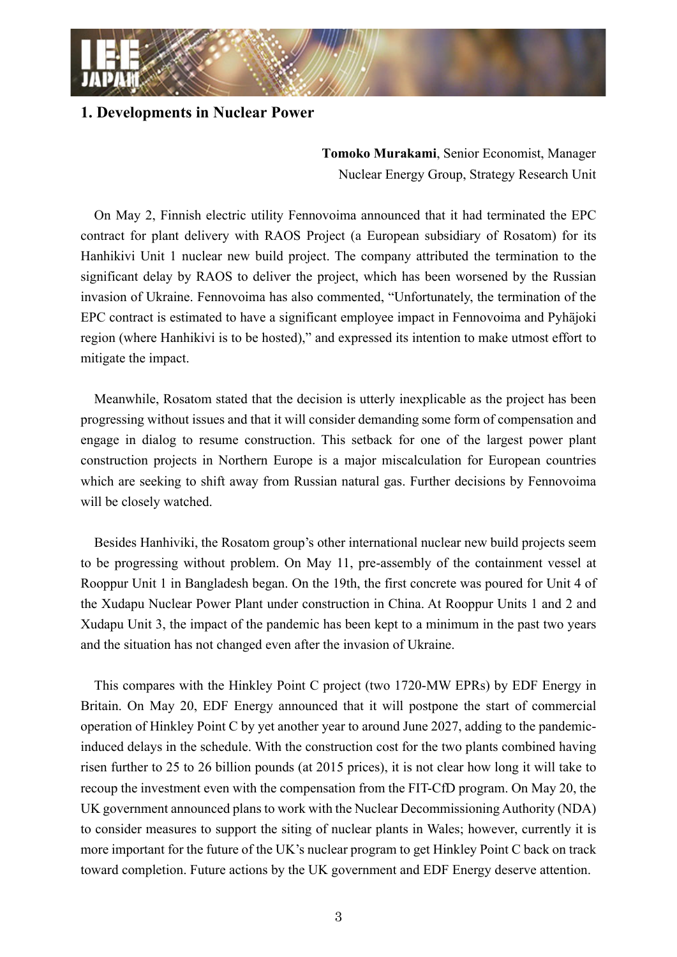

#### **1. Developments in Nuclear Power**

**Tomoko Murakami**, Senior Economist, Manager Nuclear Energy Group, Strategy Research Unit

On May 2, Finnish electric utility Fennovoima announced that it had terminated the EPC contract for plant delivery with RAOS Project (a European subsidiary of Rosatom) for its Hanhikivi Unit 1 nuclear new build project. The company attributed the termination to the significant delay by RAOS to deliver the project, which has been worsened by the Russian invasion of Ukraine. Fennovoima has also commented, "Unfortunately, the termination of the EPC contract is estimated to have a significant employee impact in Fennovoima and Pyhäjoki region (where Hanhikivi is to be hosted)," and expressed its intention to make utmost effort to mitigate the impact.

Meanwhile, Rosatom stated that the decision is utterly inexplicable as the project has been progressing without issues and that it will consider demanding some form of compensation and engage in dialog to resume construction. This setback for one of the largest power plant construction projects in Northern Europe is a major miscalculation for European countries which are seeking to shift away from Russian natural gas. Further decisions by Fennovoima will be closely watched.

Besides Hanhiviki, the Rosatom group's other international nuclear new build projects seem to be progressing without problem. On May 11, pre-assembly of the containment vessel at Rooppur Unit 1 in Bangladesh began. On the 19th, the first concrete was poured for Unit 4 of the Xudapu Nuclear Power Plant under construction in China. At Rooppur Units 1 and 2 and Xudapu Unit 3, the impact of the pandemic has been kept to a minimum in the past two years and the situation has not changed even after the invasion of Ukraine.

This compares with the Hinkley Point C project (two 1720-MW EPRs) by EDF Energy in Britain. On May 20, EDF Energy announced that it will postpone the start of commercial operation of Hinkley Point C by yet another year to around June 2027, adding to the pandemicinduced delays in the schedule. With the construction cost for the two plants combined having risen further to 25 to 26 billion pounds (at 2015 prices), it is not clear how long it will take to recoup the investment even with the compensation from the FIT-CfD program. On May 20, the UK government announced plans to work with the Nuclear Decommissioning Authority (NDA) to consider measures to support the siting of nuclear plants in Wales; however, currently it is more important for the future of the UK's nuclear program to get Hinkley Point C back on track toward completion. Future actions by the UK government and EDF Energy deserve attention.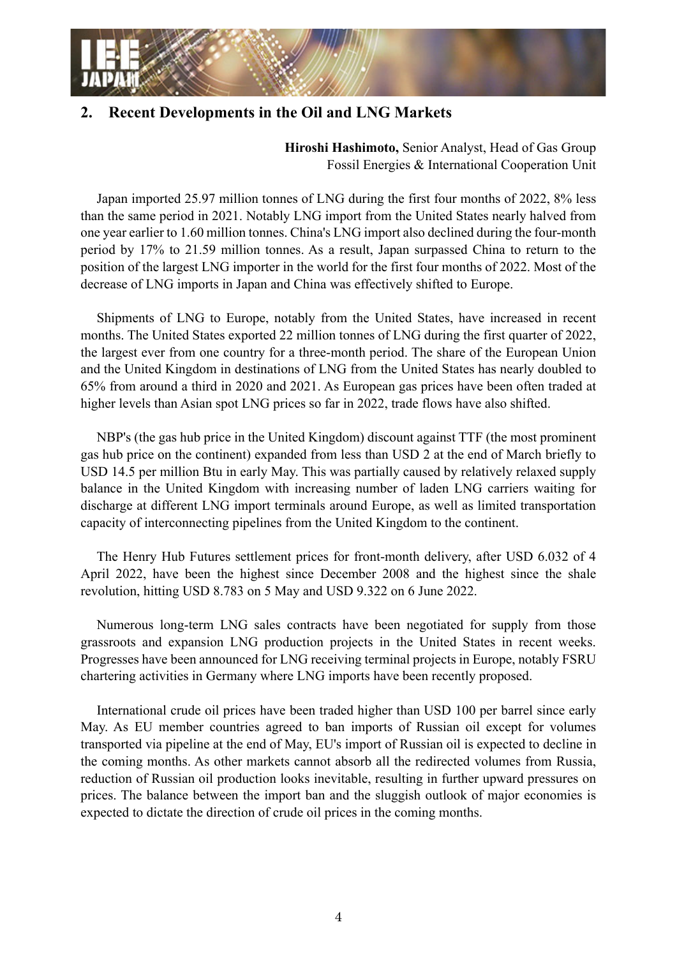

## **2. Recent Developments in the Oil and LNG Markets**

**Hiroshi Hashimoto,** Senior Analyst, Head of Gas Group Fossil Energies & International Cooperation Unit

Japan imported 25.97 million tonnes of LNG during the first four months of 2022, 8% less than the same period in 2021. Notably LNG import from the United States nearly halved from one year earlier to 1.60 million tonnes. China's LNG import also declined during the four-month period by 17% to 21.59 million tonnes. As a result, Japan surpassed China to return to the position of the largest LNG importer in the world for the first four months of 2022. Most of the decrease of LNG imports in Japan and China was effectively shifted to Europe.

Shipments of LNG to Europe, notably from the United States, have increased in recent months. The United States exported 22 million tonnes of LNG during the first quarter of 2022, the largest ever from one country for a three-month period. The share of the European Union and the United Kingdom in destinations of LNG from the United States has nearly doubled to 65% from around a third in 2020 and 2021. As European gas prices have been often traded at higher levels than Asian spot LNG prices so far in 2022, trade flows have also shifted.

NBP's (the gas hub price in the United Kingdom) discount against TTF (the most prominent gas hub price on the continent) expanded from less than USD 2 at the end of March briefly to USD 14.5 per million Btu in early May. This was partially caused by relatively relaxed supply balance in the United Kingdom with increasing number of laden LNG carriers waiting for discharge at different LNG import terminals around Europe, as well as limited transportation capacity of interconnecting pipelines from the United Kingdom to the continent.

The Henry Hub Futures settlement prices for front-month delivery, after USD 6.032 of 4 April 2022, have been the highest since December 2008 and the highest since the shale revolution, hitting USD 8.783 on 5 May and USD 9.322 on 6 June 2022.

Numerous long-term LNG sales contracts have been negotiated for supply from those grassroots and expansion LNG production projects in the United States in recent weeks. Progresses have been announced for LNG receiving terminal projects in Europe, notably FSRU chartering activities in Germany where LNG imports have been recently proposed.

International crude oil prices have been traded higher than USD 100 per barrel since early May. As EU member countries agreed to ban imports of Russian oil except for volumes transported via pipeline at the end of May, EU's import of Russian oil is expected to decline in the coming months. As other markets cannot absorb all the redirected volumes from Russia, reduction of Russian oil production looks inevitable, resulting in further upward pressures on prices. The balance between the import ban and the sluggish outlook of major economies is expected to dictate the direction of crude oil prices in the coming months.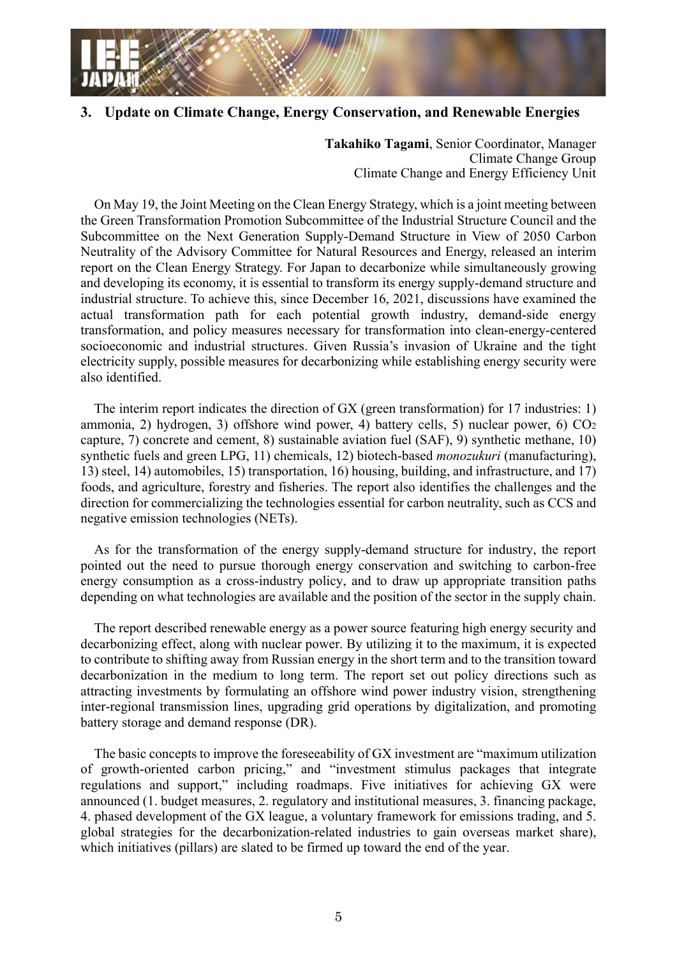

#### **3. Update on Climate Change, Energy Conservation, and Renewable Energies**

**Takahiko Tagami**, Senior Coordinator, Manager Climate Change Group Climate Change and Energy Efficiency Unit

On May 19, the Joint Meeting on the Clean Energy Strategy, which is a joint meeting between the Green Transformation Promotion Subcommittee of the Industrial Structure Council and the Subcommittee on the Next Generation Supply-Demand Structure in View of 2050 Carbon Neutrality of the Advisory Committee for Natural Resources and Energy, released an interim report on the Clean Energy Strategy. For Japan to decarbonize while simultaneously growing and developing its economy, it is essential to transform its energy supply-demand structure and industrial structure. To achieve this, since December 16, 2021, discussions have examined the actual transformation path for each potential growth industry, demand-side energy transformation, and policy measures necessary for transformation into clean-energy-centered socioeconomic and industrial structures. Given Russia's invasion of Ukraine and the tight electricity supply, possible measures for decarbonizing while establishing energy security were also identified.

The interim report indicates the direction of GX (green transformation) for 17 industries: 1) ammonia, 2) hydrogen, 3) offshore wind power, 4) battery cells, 5) nuclear power, 6)  $CO<sub>2</sub>$ capture, 7) concrete and cement, 8) sustainable aviation fuel (SAF), 9) synthetic methane, 10) synthetic fuels and green LPG, 11) chemicals, 12) biotech-based *monozukuri* (manufacturing), 13) steel, 14) automobiles, 15) transportation, 16) housing, building, and infrastructure, and 17) foods, and agriculture, forestry and fisheries. The report also identifies the challenges and the direction for commercializing the technologies essential for carbon neutrality, such as CCS and negative emission technologies (NETs).

As for the transformation of the energy supply-demand structure for industry, the report pointed out the need to pursue thorough energy conservation and switching to carbon-free energy consumption as a cross-industry policy, and to draw up appropriate transition paths depending on what technologies are available and the position of the sector in the supply chain.

The report described renewable energy as a power source featuring high energy security and decarbonizing effect, along with nuclear power. By utilizing it to the maximum, it is expected to contribute to shifting away from Russian energy in the short term and to the transition toward decarbonization in the medium to long term. The report set out policy directions such as attracting investments by formulating an offshore wind power industry vision, strengthening inter-regional transmission lines, upgrading grid operations by digitalization, and promoting battery storage and demand response (DR).

The basic concepts to improve the foreseeability of GX investment are "maximum utilization of growth-oriented carbon pricing," and "investment stimulus packages that integrate regulations and support," including roadmaps. Five initiatives for achieving GX were announced (1. budget measures, 2. regulatory and institutional measures, 3. financing package, 4. phased development of the GX league, a voluntary framework for emissions trading, and 5. global strategies for the decarbonization-related industries to gain overseas market share), which initiatives (pillars) are slated to be firmed up toward the end of the year.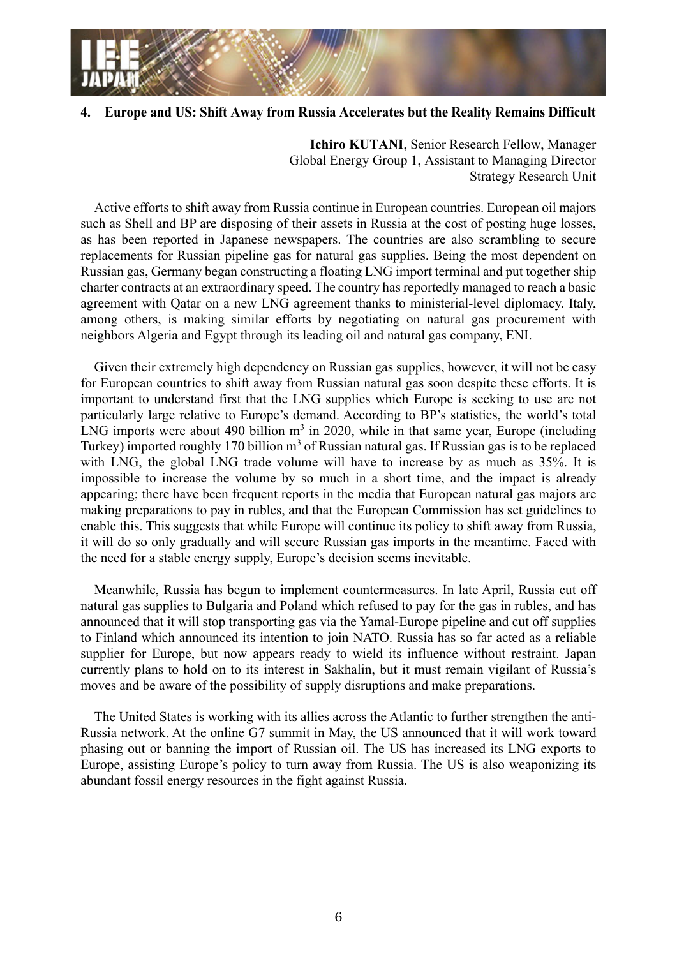

#### **4. Europe and US: Shift Away from Russia Accelerates but the Reality Remains Difficult**

**Ichiro KUTANI**, Senior Research Fellow, Manager Global Energy Group 1, Assistant to Managing Director Strategy Research Unit

Active efforts to shift away from Russia continue in European countries. European oil majors such as Shell and BP are disposing of their assets in Russia at the cost of posting huge losses, as has been reported in Japanese newspapers. The countries are also scrambling to secure replacements for Russian pipeline gas for natural gas supplies. Being the most dependent on Russian gas, Germany began constructing a floating LNG import terminal and put together ship charter contracts at an extraordinary speed. The country has reportedly managed to reach a basic agreement with Qatar on a new LNG agreement thanks to ministerial-level diplomacy. Italy, among others, is making similar efforts by negotiating on natural gas procurement with neighbors Algeria and Egypt through its leading oil and natural gas company, ENI.

Given their extremely high dependency on Russian gas supplies, however, it will not be easy for European countries to shift away from Russian natural gas soon despite these efforts. It is important to understand first that the LNG supplies which Europe is seeking to use are not particularly large relative to Europe's demand. According to BP's statistics, the world's total LNG imports were about 490 billion  $m<sup>3</sup>$  in 2020, while in that same year, Europe (including Turkey) imported roughly 170 billion  $m<sup>3</sup>$  of Russian natural gas. If Russian gas is to be replaced with LNG, the global LNG trade volume will have to increase by as much as 35%. It is impossible to increase the volume by so much in a short time, and the impact is already appearing; there have been frequent reports in the media that European natural gas majors are making preparations to pay in rubles, and that the European Commission has set guidelines to enable this. This suggests that while Europe will continue its policy to shift away from Russia, it will do so only gradually and will secure Russian gas imports in the meantime. Faced with the need for a stable energy supply, Europe's decision seems inevitable.

Meanwhile, Russia has begun to implement countermeasures. In late April, Russia cut off natural gas supplies to Bulgaria and Poland which refused to pay for the gas in rubles, and has announced that it will stop transporting gas via the Yamal-Europe pipeline and cut off supplies to Finland which announced its intention to join NATO. Russia has so far acted as a reliable supplier for Europe, but now appears ready to wield its influence without restraint. Japan currently plans to hold on to its interest in Sakhalin, but it must remain vigilant of Russia's moves and be aware of the possibility of supply disruptions and make preparations.

The United States is working with its allies across the Atlantic to further strengthen the anti-Russia network. At the online G7 summit in May, the US announced that it will work toward phasing out or banning the import of Russian oil. The US has increased its LNG exports to Europe, assisting Europe's policy to turn away from Russia. The US is also weaponizing its abundant fossil energy resources in the fight against Russia.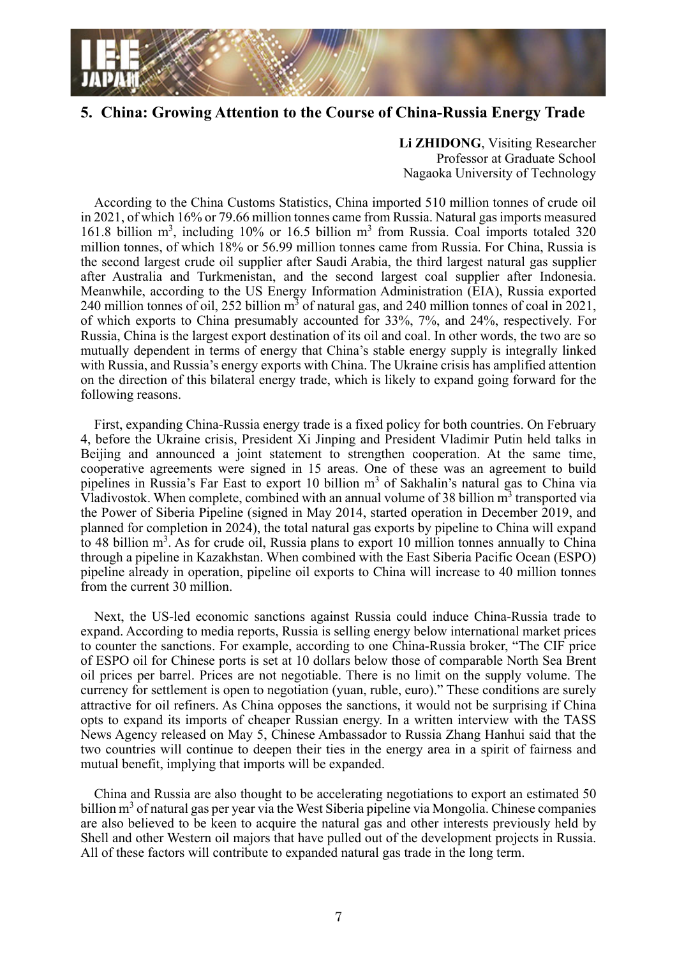

#### **5. China: Growing Attention to the Course of China-Russia Energy Trade**

**Li ZHIDONG**, Visiting Researcher Professor at Graduate School Nagaoka University of Technology

According to the China Customs Statistics, China imported 510 million tonnes of crude oil in 2021, of which 16% or 79.66 million tonnes came from Russia. Natural gas imports measured 161.8 billion m<sup>3</sup>, including 10% or 16.5 billion m<sup>3</sup> from Russia. Coal imports totaled 320 million tonnes, of which 18% or 56.99 million tonnes came from Russia. For China, Russia is the second largest crude oil supplier after Saudi Arabia, the third largest natural gas supplier after Australia and Turkmenistan, and the second largest coal supplier after Indonesia. Meanwhile, according to the US Energy Information Administration (EIA), Russia exported 240 million tonnes of oil, 252 billion  $m<sup>3</sup>$  of natural gas, and 240 million tonnes of coal in 2021, of which exports to China presumably accounted for 33%, 7%, and 24%, respectively. For Russia, China is the largest export destination of its oil and coal. In other words, the two are so mutually dependent in terms of energy that China's stable energy supply is integrally linked with Russia, and Russia's energy exports with China. The Ukraine crisis has amplified attention on the direction of this bilateral energy trade, which is likely to expand going forward for the following reasons.

First, expanding China-Russia energy trade is a fixed policy for both countries. On February 4, before the Ukraine crisis, President Xi Jinping and President Vladimir Putin held talks in Beijing and announced a joint statement to strengthen cooperation. At the same time, cooperative agreements were signed in 15 areas. One of these was an agreement to build pipelines in Russia's Far East to export 10 billion m<sup>3</sup> of Sakhalin's natural gas to China via Vladivostok. When complete, combined with an annual volume of 38 billion  $m<sup>3</sup>$  transported via the Power of Siberia Pipeline (signed in May 2014, started operation in December 2019, and planned for completion in 2024), the total natural gas exports by pipeline to China will expand to 48 billion  $m^3$ . As for crude oil, Russia plans to export 10 million tonnes annually to China through a pipeline in Kazakhstan. When combined with the East Siberia Pacific Ocean (ESPO) pipeline already in operation, pipeline oil exports to China will increase to 40 million tonnes from the current 30 million.

Next, the US-led economic sanctions against Russia could induce China-Russia trade to expand. According to media reports, Russia is selling energy below international market prices to counter the sanctions. For example, according to one China-Russia broker, "The CIF price of ESPO oil for Chinese ports is set at 10 dollars below those of comparable North Sea Brent oil prices per barrel. Prices are not negotiable. There is no limit on the supply volume. The currency for settlement is open to negotiation (yuan, ruble, euro)." These conditions are surely attractive for oil refiners. As China opposes the sanctions, it would not be surprising if China opts to expand its imports of cheaper Russian energy. In a written interview with the TASS News Agency released on May 5, Chinese Ambassador to Russia Zhang Hanhui said that the two countries will continue to deepen their ties in the energy area in a spirit of fairness and mutual benefit, implying that imports will be expanded.

China and Russia are also thought to be accelerating negotiations to export an estimated 50 billion m<sup>3</sup> of natural gas per year via the West Siberia pipeline via Mongolia. Chinese companies are also believed to be keen to acquire the natural gas and other interests previously held by Shell and other Western oil majors that have pulled out of the development projects in Russia. All of these factors will contribute to expanded natural gas trade in the long term.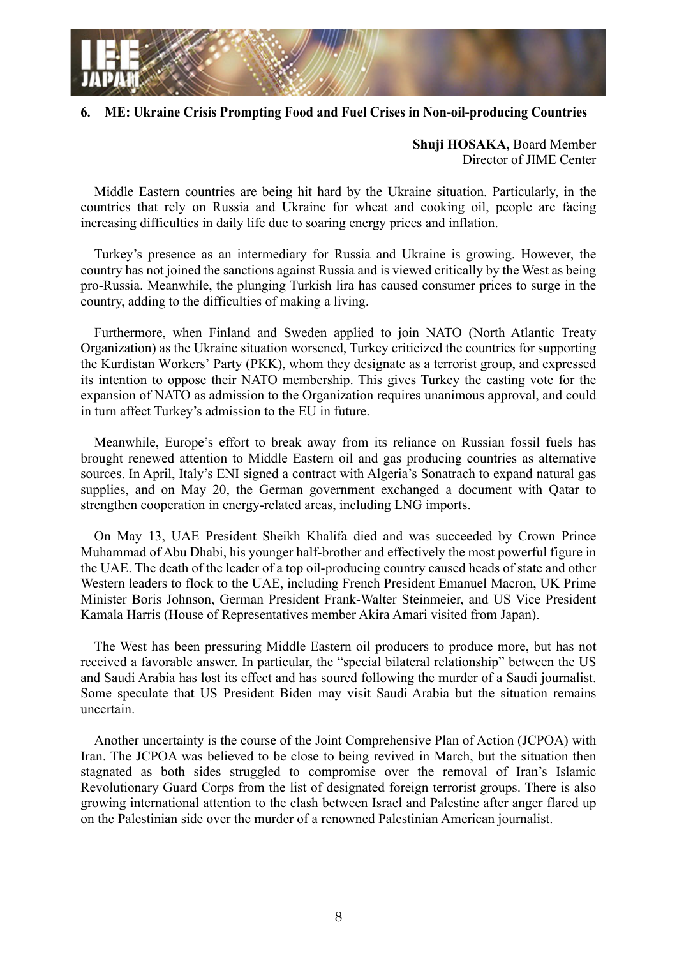

#### **6. ME: Ukraine Crisis Prompting Food and Fuel Crises in Non-oil-producing Countries**

**Shuji HOSAKA,** Board Member Director of JIME Center

Middle Eastern countries are being hit hard by the Ukraine situation. Particularly, in the countries that rely on Russia and Ukraine for wheat and cooking oil, people are facing increasing difficulties in daily life due to soaring energy prices and inflation.

Turkey's presence as an intermediary for Russia and Ukraine is growing. However, the country has not joined the sanctions against Russia and is viewed critically by the West as being pro-Russia. Meanwhile, the plunging Turkish lira has caused consumer prices to surge in the country, adding to the difficulties of making a living.

Furthermore, when Finland and Sweden applied to join NATO (North Atlantic Treaty Organization) as the Ukraine situation worsened, Turkey criticized the countries for supporting the Kurdistan Workers' Party (PKK), whom they designate as a terrorist group, and expressed its intention to oppose their NATO membership. This gives Turkey the casting vote for the expansion of NATO as admission to the Organization requires unanimous approval, and could in turn affect Turkey's admission to the EU in future.

Meanwhile, Europe's effort to break away from its reliance on Russian fossil fuels has brought renewed attention to Middle Eastern oil and gas producing countries as alternative sources. In April, Italy's ENI signed a contract with Algeria's Sonatrach to expand natural gas supplies, and on May 20, the German government exchanged a document with Qatar to strengthen cooperation in energy-related areas, including LNG imports.

On May 13, UAE President Sheikh Khalifa died and was succeeded by Crown Prince Muhammad of Abu Dhabi, his younger half-brother and effectively the most powerful figure in the UAE. The death of the leader of a top oil-producing country caused heads of state and other Western leaders to flock to the UAE, including French President Emanuel Macron, UK Prime Minister Boris Johnson, German President Frank-Walter Steinmeier, and US Vice President Kamala Harris (House of Representatives member Akira Amari visited from Japan).

The West has been pressuring Middle Eastern oil producers to produce more, but has not received a favorable answer. In particular, the "special bilateral relationship" between the US and Saudi Arabia has lost its effect and has soured following the murder of a Saudi journalist. Some speculate that US President Biden may visit Saudi Arabia but the situation remains uncertain.

Another uncertainty is the course of the Joint Comprehensive Plan of Action (JCPOA) with Iran. The JCPOA was believed to be close to being revived in March, but the situation then stagnated as both sides struggled to compromise over the removal of Iran's Islamic Revolutionary Guard Corps from the list of designated foreign terrorist groups. There is also growing international attention to the clash between Israel and Palestine after anger flared up on the Palestinian side over the murder of a renowned Palestinian American journalist.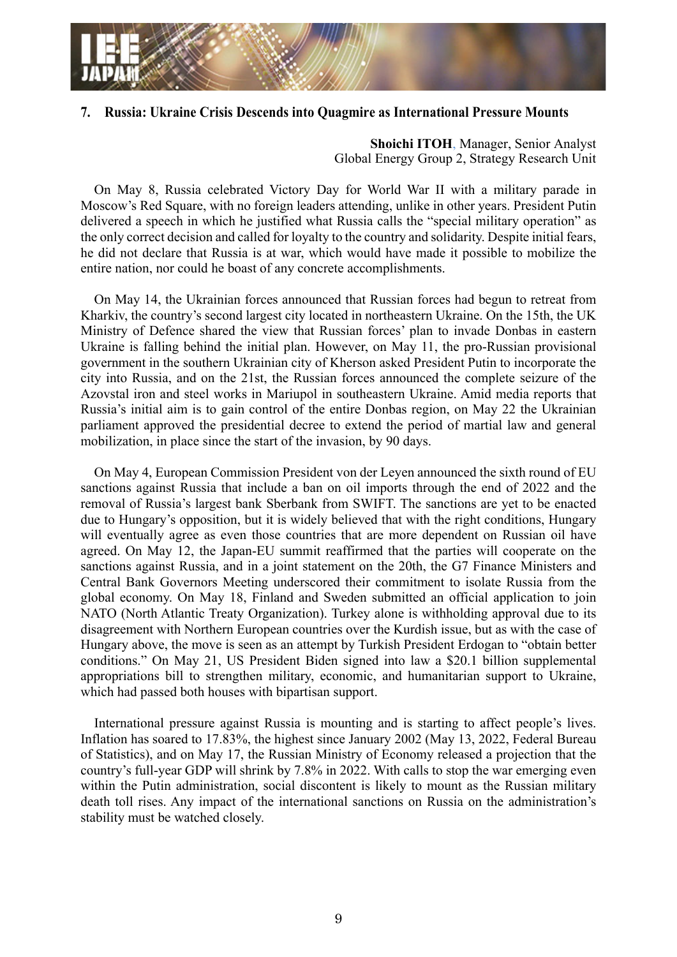

#### **7. Russia: Ukraine Crisis Descends into Quagmire as International Pressure Mounts**

**Shoichi ITOH**, Manager, Senior Analyst Global Energy Group 2, Strategy Research Unit

On May 8, Russia celebrated Victory Day for World War II with a military parade in Moscow's Red Square, with no foreign leaders attending, unlike in other years. President Putin delivered a speech in which he justified what Russia calls the "special military operation" as the only correct decision and called for loyalty to the country and solidarity. Despite initial fears, he did not declare that Russia is at war, which would have made it possible to mobilize the entire nation, nor could he boast of any concrete accomplishments.

On May 14, the Ukrainian forces announced that Russian forces had begun to retreat from Kharkiv, the country's second largest city located in northeastern Ukraine. On the 15th, the UK Ministry of Defence shared the view that Russian forces' plan to invade Donbas in eastern Ukraine is falling behind the initial plan. However, on May 11, the pro-Russian provisional government in the southern Ukrainian city of Kherson asked President Putin to incorporate the city into Russia, and on the 21st, the Russian forces announced the complete seizure of the Azovstal iron and steel works in Mariupol in southeastern Ukraine. Amid media reports that Russia's initial aim is to gain control of the entire Donbas region, on May 22 the Ukrainian parliament approved the presidential decree to extend the period of martial law and general mobilization, in place since the start of the invasion, by 90 days.

On May 4, European Commission President von der Leyen announced the sixth round of EU sanctions against Russia that include a ban on oil imports through the end of 2022 and the removal of Russia's largest bank Sberbank from SWIFT. The sanctions are yet to be enacted due to Hungary's opposition, but it is widely believed that with the right conditions, Hungary will eventually agree as even those countries that are more dependent on Russian oil have agreed. On May 12, the Japan-EU summit reaffirmed that the parties will cooperate on the sanctions against Russia, and in a joint statement on the 20th, the G7 Finance Ministers and Central Bank Governors Meeting underscored their commitment to isolate Russia from the global economy. On May 18, Finland and Sweden submitted an official application to join NATO (North Atlantic Treaty Organization). Turkey alone is withholding approval due to its disagreement with Northern European countries over the Kurdish issue, but as with the case of Hungary above, the move is seen as an attempt by Turkish President Erdogan to "obtain better conditions." On May 21, US President Biden signed into law a \$20.1 billion supplemental appropriations bill to strengthen military, economic, and humanitarian support to Ukraine, which had passed both houses with bipartisan support.

International pressure against Russia is mounting and is starting to affect people's lives. Inflation has soared to 17.83%, the highest since January 2002 (May 13, 2022, Federal Bureau of Statistics), and on May 17, the Russian Ministry of Economy released a projection that the country's full-year GDP will shrink by 7.8% in 2022. With calls to stop the war emerging even within the Putin administration, social discontent is likely to mount as the Russian military death toll rises. Any impact of the international sanctions on Russia on the administration's stability must be watched closely.